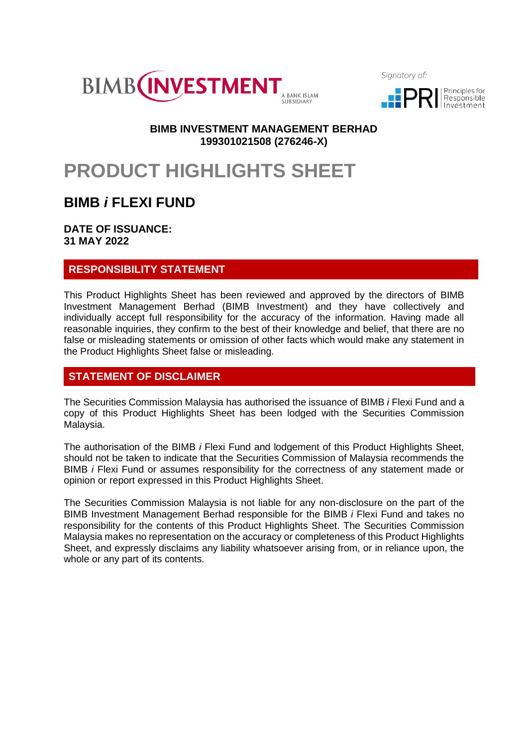

Sianatory of:



## **BIMB INVESTMENT MANAGEMENT BERHAD 199301021508 (276246-X)**

# **PRODUCT HIGHLIGHTS SHEET**

## **BIMB** *i* **FLEXI FUND**

**DATE OF ISSUANCE: 31 MAY 2022**

## **RESPONSIBILITY STATEMENT**

This Product Highlights Sheet has been reviewed and approved by the directors of BIMB Investment Management Berhad (BIMB Investment) and they have collectively and individually accept full responsibility for the accuracy of the information. Having made all reasonable inquiries, they confirm to the best of their knowledge and belief, that there are no false or misleading statements or omission of other facts which would make any statement in the Product Highlights Sheet false or misleading.

## **STATEMENT OF DISCLAIMER**

The Securities Commission Malaysia has authorised the issuance of BIMB *i* Flexi Fund and a copy of this Product Highlights Sheet has been lodged with the Securities Commission Malaysia.

The authorisation of the BIMB *i* Flexi Fund and lodgement of this Product Highlights Sheet, should not be taken to indicate that the Securities Commission of Malaysia recommends the BIMB *i* Flexi Fund or assumes responsibility for the correctness of any statement made or opinion or report expressed in this Product Highlights Sheet.

The Securities Commission Malaysia is not liable for any non-disclosure on the part of the BIMB Investment Management Berhad responsible for the BIMB *i* Flexi Fund and takes no responsibility for the contents of this Product Highlights Sheet. The Securities Commission Malaysia makes no representation on the accuracy or completeness of this Product Highlights Sheet, and expressly disclaims any liability whatsoever arising from, or in reliance upon, the whole or any part of its contents.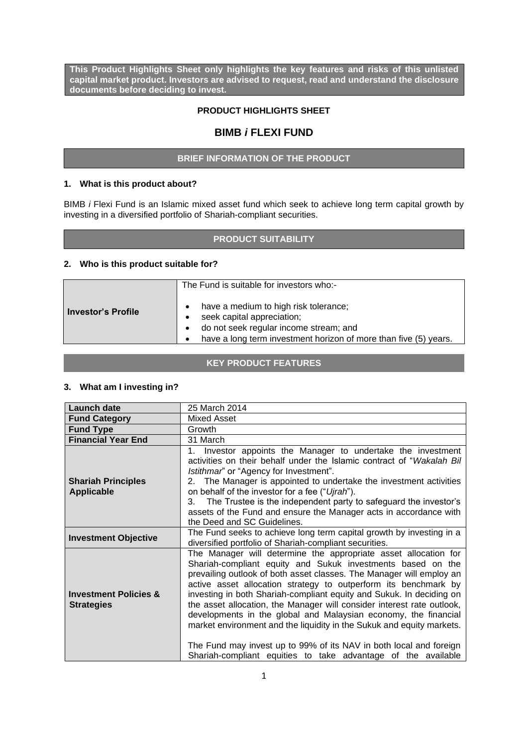**This Product Highlights Sheet only highlights the key features and risks of this unlisted capital market product. Investors are advised to request, read and understand the disclosure documents before deciding to invest.**

#### **PRODUCT HIGHLIGHTS SHEET**

## **BIMB** *i* **FLEXI FUND**

#### **BRIEF INFORMATION OF THE PRODUCT**

#### **1. What is this product about?**

BIMB *i* Flexi Fund is an Islamic mixed asset fund which seek to achieve long term capital growth by investing in a diversified portfolio of Shariah-compliant securities.

### **PRODUCT SUITABILITY**

#### **2. Who is this product suitable for?**

|                      | The Fund is suitable for investors who:-                                                                                                                                          |  |  |
|----------------------|-----------------------------------------------------------------------------------------------------------------------------------------------------------------------------------|--|--|
| l Investor's Profile | have a medium to high risk tolerance;<br>seek capital appreciation;<br>do not seek regular income stream; and<br>have a long term investment horizon of more than five (5) years. |  |  |

#### **KEY PRODUCT FEATURES**

#### **3. What am I investing in?**

| <b>Launch date</b>                                    | 25 March 2014                                                                                                                                                                                                                                                                                                                                                                                                                                                                                                                                                                                                                                                                                                  |  |
|-------------------------------------------------------|----------------------------------------------------------------------------------------------------------------------------------------------------------------------------------------------------------------------------------------------------------------------------------------------------------------------------------------------------------------------------------------------------------------------------------------------------------------------------------------------------------------------------------------------------------------------------------------------------------------------------------------------------------------------------------------------------------------|--|
| <b>Fund Category</b>                                  | Mixed Asset                                                                                                                                                                                                                                                                                                                                                                                                                                                                                                                                                                                                                                                                                                    |  |
| <b>Fund Type</b>                                      | Growth                                                                                                                                                                                                                                                                                                                                                                                                                                                                                                                                                                                                                                                                                                         |  |
| <b>Financial Year End</b>                             | 31 March                                                                                                                                                                                                                                                                                                                                                                                                                                                                                                                                                                                                                                                                                                       |  |
| <b>Shariah Principles</b><br><b>Applicable</b>        | Investor appoints the Manager to undertake the investment<br>$1_{-}$<br>activities on their behalf under the Islamic contract of "Wakalah Bill<br>Istithmar" or "Agency for Investment".<br>2. The Manager is appointed to undertake the investment activities<br>on behalf of the investor for a fee ("Ujrah").<br>The Trustee is the independent party to safeguard the investor's<br>3.<br>assets of the Fund and ensure the Manager acts in accordance with<br>the Deed and SC Guidelines.                                                                                                                                                                                                                 |  |
| <b>Investment Objective</b>                           | The Fund seeks to achieve long term capital growth by investing in a<br>diversified portfolio of Shariah-compliant securities.                                                                                                                                                                                                                                                                                                                                                                                                                                                                                                                                                                                 |  |
| <b>Investment Policies &amp;</b><br><b>Strategies</b> | The Manager will determine the appropriate asset allocation for<br>Shariah-compliant equity and Sukuk investments based on the<br>prevailing outlook of both asset classes. The Manager will employ an<br>active asset allocation strategy to outperform its benchmark by<br>investing in both Shariah-compliant equity and Sukuk. In deciding on<br>the asset allocation, the Manager will consider interest rate outlook,<br>developments in the global and Malaysian economy, the financial<br>market environment and the liquidity in the Sukuk and equity markets.<br>The Fund may invest up to 99% of its NAV in both local and foreign<br>Shariah-compliant equities to take advantage of the available |  |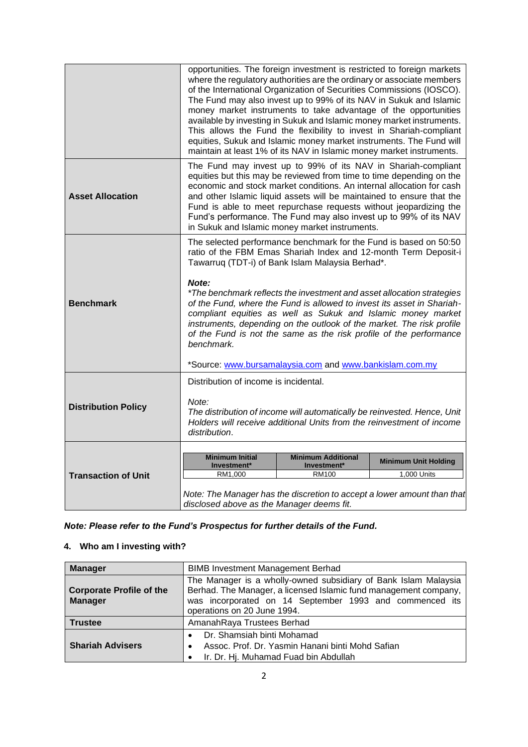|                            | opportunities. The foreign investment is restricted to foreign markets<br>where the regulatory authorities are the ordinary or associate members<br>of the International Organization of Securities Commissions (IOSCO).<br>The Fund may also invest up to 99% of its NAV in Sukuk and Islamic<br>money market instruments to take advantage of the opportunities<br>available by investing in Sukuk and Islamic money market instruments.<br>This allows the Fund the flexibility to invest in Shariah-compliant<br>equities, Sukuk and Islamic money market instruments. The Fund will<br>maintain at least 1% of its NAV in Islamic money market instruments. |  |  |
|----------------------------|------------------------------------------------------------------------------------------------------------------------------------------------------------------------------------------------------------------------------------------------------------------------------------------------------------------------------------------------------------------------------------------------------------------------------------------------------------------------------------------------------------------------------------------------------------------------------------------------------------------------------------------------------------------|--|--|
| <b>Asset Allocation</b>    | The Fund may invest up to 99% of its NAV in Shariah-compliant<br>equities but this may be reviewed from time to time depending on the<br>economic and stock market conditions. An internal allocation for cash<br>and other Islamic liquid assets will be maintained to ensure that the<br>Fund is able to meet repurchase requests without jeopardizing the<br>Fund's performance. The Fund may also invest up to 99% of its NAV<br>in Sukuk and Islamic money market instruments.                                                                                                                                                                              |  |  |
| <b>Benchmark</b>           | The selected performance benchmark for the Fund is based on 50:50<br>ratio of the FBM Emas Shariah Index and 12-month Term Deposit-i<br>Tawarruq (TDT-i) of Bank Islam Malaysia Berhad*.<br>Note:<br>*The benchmark reflects the investment and asset allocation strategies<br>of the Fund, where the Fund is allowed to invest its asset in Shariah-<br>compliant equities as well as Sukuk and Islamic money market<br>instruments, depending on the outlook of the market. The risk profile<br>of the Fund is not the same as the risk profile of the performance<br>benchmark.<br>*Source: www.bursamalaysia.com and www.bankislam.com.my                    |  |  |
| <b>Distribution Policy</b> | Distribution of income is incidental.<br>Note:<br>The distribution of income will automatically be reinvested. Hence, Unit<br>Holders will receive additional Units from the reinvestment of income<br>distribution.                                                                                                                                                                                                                                                                                                                                                                                                                                             |  |  |
| <b>Transaction of Unit</b> | <b>Minimum Initial</b><br><b>Minimum Additional</b><br><b>Minimum Unit Holding</b><br>Investment*<br>Investment*<br>1,000 Units<br>RM1,000<br>RM100<br>Note: The Manager has the discretion to accept a lower amount than that<br>disclosed above as the Manager deems fit.                                                                                                                                                                                                                                                                                                                                                                                      |  |  |

*Note: Please refer to the Fund's Prospectus for further details of the Fund.*

## **4. Who am I investing with?**

| <b>Manager</b>                                    | <b>BIMB Investment Management Berhad</b>                                                                                                                                                                                      |  |  |
|---------------------------------------------------|-------------------------------------------------------------------------------------------------------------------------------------------------------------------------------------------------------------------------------|--|--|
| <b>Corporate Profile of the</b><br><b>Manager</b> | The Manager is a wholly-owned subsidiary of Bank Islam Malaysia<br>Berhad. The Manager, a licensed Islamic fund management company,<br>was incorporated on 14 September 1993 and commenced its<br>operations on 20 June 1994. |  |  |
| <b>Trustee</b>                                    | AmanahRaya Trustees Berhad                                                                                                                                                                                                    |  |  |
| <b>Shariah Advisers</b>                           | Dr. Shamsiah binti Mohamad<br>Assoc. Prof. Dr. Yasmin Hanani binti Mohd Safian<br>$\bullet$<br>Ir. Dr. Hj. Muhamad Fuad bin Abdullah                                                                                          |  |  |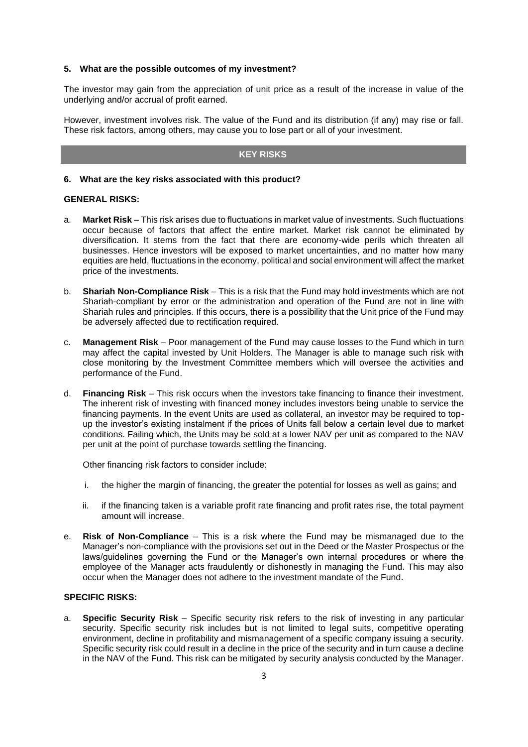#### **5. What are the possible outcomes of my investment?**

The investor may gain from the appreciation of unit price as a result of the increase in value of the underlying and/or accrual of profit earned.

However, investment involves risk. The value of the Fund and its distribution (if any) may rise or fall. These risk factors, among others, may cause you to lose part or all of your investment.

#### **KEY RISKS**

#### **6. What are the key risks associated with this product?**

#### **GENERAL RISKS:**

- a. **Market Risk**  This risk arises due to fluctuations in market value of investments. Such fluctuations occur because of factors that affect the entire market. Market risk cannot be eliminated by diversification. It stems from the fact that there are economy-wide perils which threaten all businesses. Hence investors will be exposed to market uncertainties, and no matter how many equities are held, fluctuations in the economy, political and social environment will affect the market price of the investments.
- b. **Shariah Non-Compliance Risk**  This is a risk that the Fund may hold investments which are not Shariah-compliant by error or the administration and operation of the Fund are not in line with Shariah rules and principles. If this occurs, there is a possibility that the Unit price of the Fund may be adversely affected due to rectification required.
- c. **Management Risk**  Poor management of the Fund may cause losses to the Fund which in turn may affect the capital invested by Unit Holders. The Manager is able to manage such risk with close monitoring by the Investment Committee members which will oversee the activities and performance of the Fund.
- d. **Financing Risk**  This risk occurs when the investors take financing to finance their investment. The inherent risk of investing with financed money includes investors being unable to service the financing payments. In the event Units are used as collateral, an investor may be required to topup the investor's existing instalment if the prices of Units fall below a certain level due to market conditions. Failing which, the Units may be sold at a lower NAV per unit as compared to the NAV per unit at the point of purchase towards settling the financing.

Other financing risk factors to consider include:

- i. the higher the margin of financing, the greater the potential for losses as well as gains; and
- ii. if the financing taken is a variable profit rate financing and profit rates rise, the total payment amount will increase.
- e. **Risk of Non-Compliance** This is a risk where the Fund may be mismanaged due to the Manager's non-compliance with the provisions set out in the Deed or the Master Prospectus or the laws/guidelines governing the Fund or the Manager's own internal procedures or where the employee of the Manager acts fraudulently or dishonestly in managing the Fund. This may also occur when the Manager does not adhere to the investment mandate of the Fund.

#### **SPECIFIC RISKS:**

a. **Specific Security Risk** – Specific security risk refers to the risk of investing in any particular security. Specific security risk includes but is not limited to legal suits, competitive operating environment, decline in profitability and mismanagement of a specific company issuing a security. Specific security risk could result in a decline in the price of the security and in turn cause a decline in the NAV of the Fund. This risk can be mitigated by security analysis conducted by the Manager.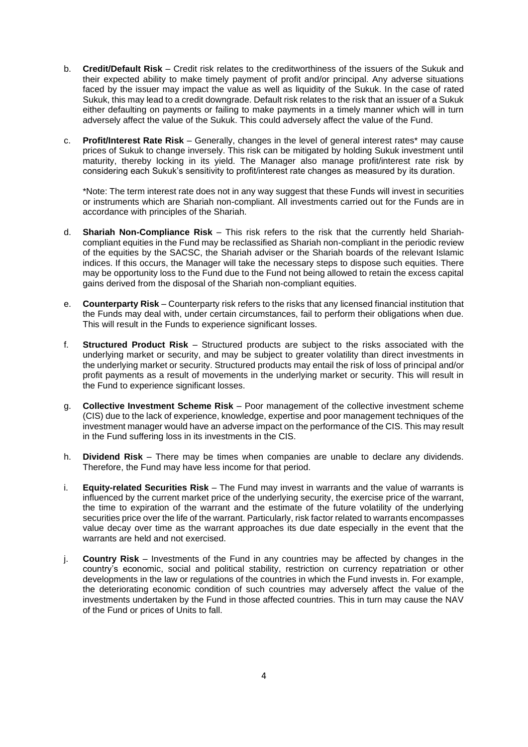- b. **Credit/Default Risk**  Credit risk relates to the creditworthiness of the issuers of the Sukuk and their expected ability to make timely payment of profit and/or principal. Any adverse situations faced by the issuer may impact the value as well as liquidity of the Sukuk. In the case of rated Sukuk, this may lead to a credit downgrade. Default risk relates to the risk that an issuer of a Sukuk either defaulting on payments or failing to make payments in a timely manner which will in turn adversely affect the value of the Sukuk. This could adversely affect the value of the Fund.
- c. **Profit/Interest Rate Risk**  Generally, changes in the level of general interest rates\* may cause prices of Sukuk to change inversely. This risk can be mitigated by holding Sukuk investment until maturity, thereby locking in its yield. The Manager also manage profit/interest rate risk by considering each Sukuk's sensitivity to profit/interest rate changes as measured by its duration.

\*Note: The term interest rate does not in any way suggest that these Funds will invest in securities or instruments which are Shariah non-compliant. All investments carried out for the Funds are in accordance with principles of the Shariah.

- d. **Shariah Non-Compliance Risk** This risk refers to the risk that the currently held Shariahcompliant equities in the Fund may be reclassified as Shariah non-compliant in the periodic review of the equities by the SACSC, the Shariah adviser or the Shariah boards of the relevant Islamic indices. If this occurs, the Manager will take the necessary steps to dispose such equities. There may be opportunity loss to the Fund due to the Fund not being allowed to retain the excess capital gains derived from the disposal of the Shariah non-compliant equities.
- e. **Counterparty Risk**  Counterparty risk refers to the risks that any licensed financial institution that the Funds may deal with, under certain circumstances, fail to perform their obligations when due. This will result in the Funds to experience significant losses.
- f. **Structured Product Risk** Structured products are subject to the risks associated with the underlying market or security, and may be subject to greater volatility than direct investments in the underlying market or security. Structured products may entail the risk of loss of principal and/or profit payments as a result of movements in the underlying market or security. This will result in the Fund to experience significant losses.
- g. **Collective Investment Scheme Risk**  Poor management of the collective investment scheme (CIS) due to the lack of experience, knowledge, expertise and poor management techniques of the investment manager would have an adverse impact on the performance of the CIS. This may result in the Fund suffering loss in its investments in the CIS.
- h. **Dividend Risk**  There may be times when companies are unable to declare any dividends. Therefore, the Fund may have less income for that period.
- i. **Equity-related Securities Risk**  The Fund may invest in warrants and the value of warrants is influenced by the current market price of the underlying security, the exercise price of the warrant, the time to expiration of the warrant and the estimate of the future volatility of the underlying securities price over the life of the warrant. Particularly, risk factor related to warrants encompasses value decay over time as the warrant approaches its due date especially in the event that the warrants are held and not exercised.
- j. **Country Risk**  Investments of the Fund in any countries may be affected by changes in the country's economic, social and political stability, restriction on currency repatriation or other developments in the law or regulations of the countries in which the Fund invests in. For example, the deteriorating economic condition of such countries may adversely affect the value of the investments undertaken by the Fund in those affected countries. This in turn may cause the NAV of the Fund or prices of Units to fall.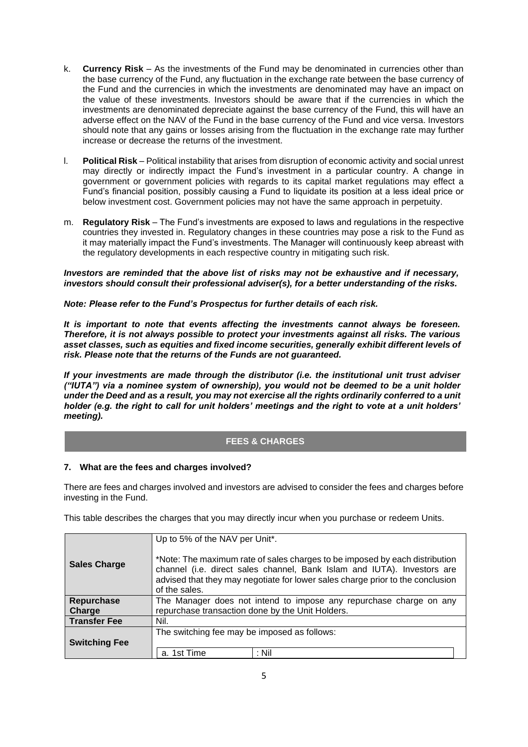- k. **Currency Risk**  As the investments of the Fund may be denominated in currencies other than the base currency of the Fund, any fluctuation in the exchange rate between the base currency of the Fund and the currencies in which the investments are denominated may have an impact on the value of these investments. Investors should be aware that if the currencies in which the investments are denominated depreciate against the base currency of the Fund, this will have an adverse effect on the NAV of the Fund in the base currency of the Fund and vice versa. Investors should note that any gains or losses arising from the fluctuation in the exchange rate may further increase or decrease the returns of the investment.
- l. **Political Risk**  Political instability that arises from disruption of economic activity and social unrest may directly or indirectly impact the Fund's investment in a particular country. A change in government or government policies with regards to its capital market regulations may effect a Fund's financial position, possibly causing a Fund to liquidate its position at a less ideal price or below investment cost. Government policies may not have the same approach in perpetuity.
- m. **Regulatory Risk**  The Fund's investments are exposed to laws and regulations in the respective countries they invested in. Regulatory changes in these countries may pose a risk to the Fund as it may materially impact the Fund's investments. The Manager will continuously keep abreast with the regulatory developments in each respective country in mitigating such risk.

#### *Investors are reminded that the above list of risks may not be exhaustive and if necessary, investors should consult their professional adviser(s), for a better understanding of the risks.*

*Note: Please refer to the Fund's Prospectus for further details of each risk.*

*It is important to note that events affecting the investments cannot always be foreseen. Therefore, it is not always possible to protect your investments against all risks. The various asset classes, such as equities and fixed income securities, generally exhibit different levels of risk. Please note that the returns of the Funds are not guaranteed.* 

*If your investments are made through the distributor (i.e. the institutional unit trust adviser ("IUTA") via a nominee system of ownership), you would not be deemed to be a unit holder under the Deed and as a result, you may not exercise all the rights ordinarily conferred to a unit holder (e.g. the right to call for unit holders' meetings and the right to vote at a unit holders' meeting).*

#### **FEES & CHARGES**

#### **7. What are the fees and charges involved?**

There are fees and charges involved and investors are advised to consider the fees and charges before investing in the Fund.

This table describes the charges that you may directly incur when you purchase or redeem Units.

| <b>Sales Charge</b>  | Up to 5% of the NAV per Unit*.<br>*Note: The maximum rate of sales charges to be imposed by each distribution<br>channel (i.e. direct sales channel, Bank Islam and IUTA). Investors are<br>advised that they may negotiate for lower sales charge prior to the conclusion<br>of the sales. |  |  |
|----------------------|---------------------------------------------------------------------------------------------------------------------------------------------------------------------------------------------------------------------------------------------------------------------------------------------|--|--|
| Repurchase<br>Charge | The Manager does not intend to impose any repurchase charge on any<br>repurchase transaction done by the Unit Holders.                                                                                                                                                                      |  |  |
| <b>Transfer Fee</b>  | Nil.                                                                                                                                                                                                                                                                                        |  |  |
| <b>Switching Fee</b> | The switching fee may be imposed as follows:<br>: Nil<br>a. 1st Time                                                                                                                                                                                                                        |  |  |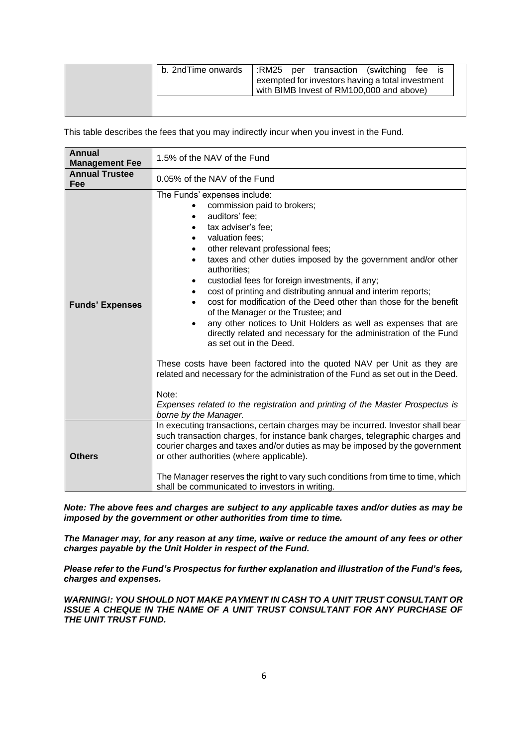| b. 2ndTime onwards | :RM25 per transaction (switching fee is<br>exempted for investors having a total investment<br>with BIMB Invest of RM100,000 and above) |
|--------------------|-----------------------------------------------------------------------------------------------------------------------------------------|
|                    |                                                                                                                                         |

This table describes the fees that you may indirectly incur when you invest in the Fund.

| <b>Annual</b><br><b>Management Fee</b>                                                                                                                                                                                                                                                                                                                                                         | 1.5% of the NAV of the Fund                                                                                                                                                                                                                                                                                                                                                                                                                                                                                                                                                                                                                                                                                                                                                                                                                                                                                                                                                                         |  |
|------------------------------------------------------------------------------------------------------------------------------------------------------------------------------------------------------------------------------------------------------------------------------------------------------------------------------------------------------------------------------------------------|-----------------------------------------------------------------------------------------------------------------------------------------------------------------------------------------------------------------------------------------------------------------------------------------------------------------------------------------------------------------------------------------------------------------------------------------------------------------------------------------------------------------------------------------------------------------------------------------------------------------------------------------------------------------------------------------------------------------------------------------------------------------------------------------------------------------------------------------------------------------------------------------------------------------------------------------------------------------------------------------------------|--|
| <b>Annual Trustee</b><br>Fee                                                                                                                                                                                                                                                                                                                                                                   | 0.05% of the NAV of the Fund                                                                                                                                                                                                                                                                                                                                                                                                                                                                                                                                                                                                                                                                                                                                                                                                                                                                                                                                                                        |  |
| <b>Funds' Expenses</b>                                                                                                                                                                                                                                                                                                                                                                         | The Funds' expenses include:<br>commission paid to brokers;<br>auditors' fee;<br>tax adviser's fee;<br>valuation fees:<br>$\bullet$<br>other relevant professional fees;<br>٠<br>taxes and other duties imposed by the government and/or other<br>$\bullet$<br>authorities:<br>custodial fees for foreign investments, if any;<br>٠<br>cost of printing and distributing annual and interim reports;<br>$\bullet$<br>cost for modification of the Deed other than those for the benefit<br>$\bullet$<br>of the Manager or the Trustee; and<br>any other notices to Unit Holders as well as expenses that are<br>٠<br>directly related and necessary for the administration of the Fund<br>as set out in the Deed.<br>These costs have been factored into the quoted NAV per Unit as they are<br>related and necessary for the administration of the Fund as set out in the Deed.<br>Note:<br>Expenses related to the registration and printing of the Master Prospectus is<br>borne by the Manager. |  |
| In executing transactions, certain charges may be incurred. Investor shall bear<br>such transaction charges, for instance bank charges, telegraphic charges and<br>courier charges and taxes and/or duties as may be imposed by the government<br>or other authorities (where applicable).<br><b>Others</b><br>The Manager reserves the right to vary such conditions from time to time, which |                                                                                                                                                                                                                                                                                                                                                                                                                                                                                                                                                                                                                                                                                                                                                                                                                                                                                                                                                                                                     |  |
|                                                                                                                                                                                                                                                                                                                                                                                                | shall be communicated to investors in writing.                                                                                                                                                                                                                                                                                                                                                                                                                                                                                                                                                                                                                                                                                                                                                                                                                                                                                                                                                      |  |

*Note: The above fees and charges are subject to any applicable taxes and/or duties as may be imposed by the government or other authorities from time to time.*

*The Manager may, for any reason at any time, waive or reduce the amount of any fees or other charges payable by the Unit Holder in respect of the Fund.*

*Please refer to the Fund's Prospectus for further explanation and illustration of the Fund's fees, charges and expenses.*

*WARNING!: YOU SHOULD NOT MAKE PAYMENT IN CASH TO A UNIT TRUST CONSULTANT OR ISSUE A CHEQUE IN THE NAME OF A UNIT TRUST CONSULTANT FOR ANY PURCHASE OF THE UNIT TRUST FUND.*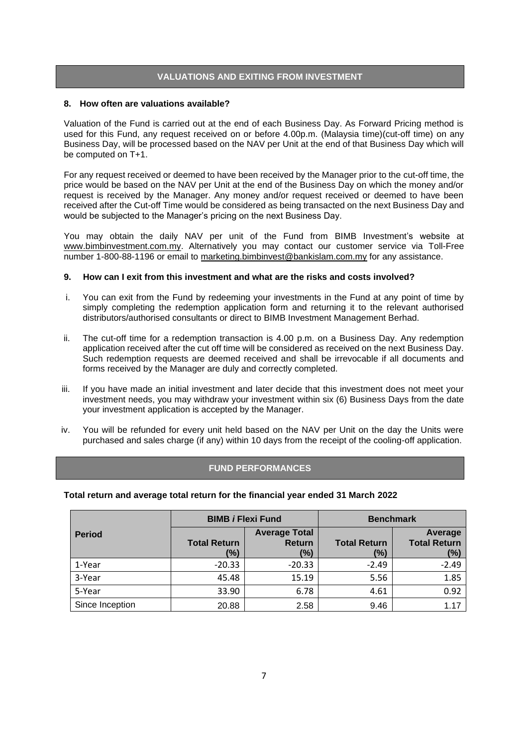#### **VALUATIONS AND EXITING FROM INVESTMENT**

#### **8. How often are valuations available?**

Valuation of the Fund is carried out at the end of each Business Day. As Forward Pricing method is used for this Fund, any request received on or before 4.00p.m. (Malaysia time)(cut-off time) on any Business Day, will be processed based on the NAV per Unit at the end of that Business Day which will be computed on T+1.

For any request received or deemed to have been received by the Manager prior to the cut-off time, the price would be based on the NAV per Unit at the end of the Business Day on which the money and/or request is received by the Manager. Any money and/or request received or deemed to have been received after the Cut-off Time would be considered as being transacted on the next Business Day and would be subjected to the Manager's pricing on the next Business Day.

You may obtain the daily NAV per unit of the Fund from BIMB Investment's website at [www.bimbinvestment.com.my.](http://www.bimbinvestment.com.my/) Alternatively you may contact our customer service via Toll-Free number 1-800-88-1196 or email to [marketing.bimbinvest@bankislam.com.my](mailto:marketing.bimbinvest@bankislam.com.my) for any assistance.

#### **9. How can I exit from this investment and what are the risks and costs involved?**

- i. You can exit from the Fund by redeeming your investments in the Fund at any point of time by simply completing the redemption application form and returning it to the relevant authorised distributors/authorised consultants or direct to BIMB Investment Management Berhad.
- ii. The cut-off time for a redemption transaction is 4.00 p.m. on a Business Day. Any redemption application received after the cut off time will be considered as received on the next Business Day. Such redemption requests are deemed received and shall be irrevocable if all documents and forms received by the Manager are duly and correctly completed.
- iii. If you have made an initial investment and later decide that this investment does not meet your investment needs, you may withdraw your investment within six (6) Business Days from the date your investment application is accepted by the Manager.
- iv. You will be refunded for every unit held based on the NAV per Unit on the day the Units were purchased and sales charge (if any) within 10 days from the receipt of the cooling-off application.

#### **FUND PERFORMANCES**

#### **Total return and average total return for the financial year ended 31 March 2022**

|                 | <b>BIMB i Flexi Fund</b>   |                                              |                            | <b>Benchmark</b>                      |  |
|-----------------|----------------------------|----------------------------------------------|----------------------------|---------------------------------------|--|
| <b>Period</b>   | <b>Total Return</b><br>(%) | <b>Average Total</b><br><b>Return</b><br>(%) | <b>Total Return</b><br>(%) | Average<br><b>Total Return</b><br>(%) |  |
| 1-Year          | $-20.33$                   | $-20.33$                                     | $-2.49$                    | $-2.49$                               |  |
| 3-Year          | 45.48                      | 15.19                                        | 5.56                       | 1.85                                  |  |
| 5-Year          | 33.90                      | 6.78                                         | 4.61                       | 0.92                                  |  |
| Since Inception | 20.88                      | 2.58                                         | 9.46                       | 1.17                                  |  |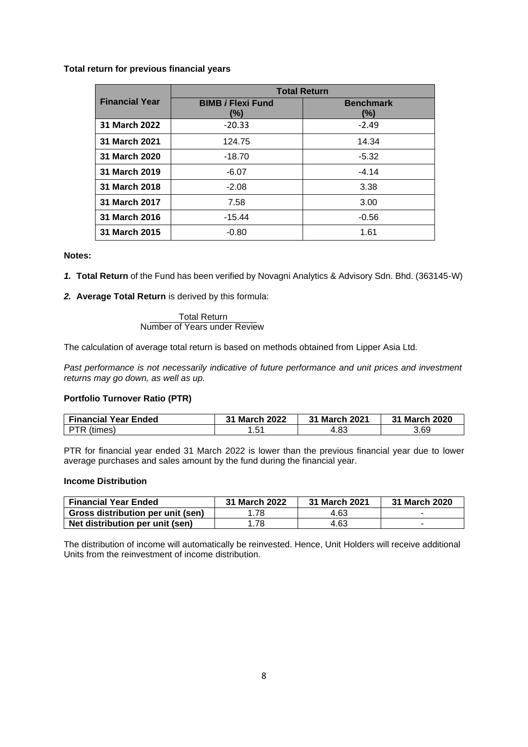#### **Total return for previous financial years**

|                       | <b>Total Return</b>             |                         |  |  |
|-----------------------|---------------------------------|-------------------------|--|--|
| <b>Financial Year</b> | <b>BIMB i Flexi Fund</b><br>(%) | <b>Benchmark</b><br>(%) |  |  |
| 31 March 2022         | $-20.33$                        | $-2.49$                 |  |  |
| 31 March 2021         | 124.75                          | 14.34                   |  |  |
| 31 March 2020         | $-18.70$                        | $-5.32$                 |  |  |
| 31 March 2019         | $-6.07$                         | $-4.14$                 |  |  |
| 31 March 2018         | $-2.08$                         | 3.38                    |  |  |
| 31 March 2017         | 7.58                            | 3.00                    |  |  |
| 31 March 2016         | $-15.44$                        | $-0.56$                 |  |  |
| 31 March 2015         | $-0.80$                         | 1.61                    |  |  |

#### **Notes:**

- *1.* **Total Return** of the Fund has been verified by Novagni Analytics & Advisory Sdn. Bhd. (363145-W)
- *2.* **Average Total Return** is derived by this formula:

Total Return Number of Years under Review

The calculation of average total return is based on methods obtained from Lipper Asia Ltd.

*Past performance is not necessarily indicative of future performance and unit prices and investment returns may go down, as well as up.*

#### **Portfolio Turnover Ratio (PTR)**

| <b>Financial Year Ended</b> | 31 March 2022 | 31 March 2021 | 31 March 2020 |
|-----------------------------|---------------|---------------|---------------|
| PTR (times)                 | . .51         | 4.83          | 3.69          |

PTR for financial year ended 31 March 2022 is lower than the previous financial year due to lower average purchases and sales amount by the fund during the financial year.

#### **Income Distribution**

| <b>Financial Year Ended</b>       | 31 March 2022 | 31 March 2021 | 31 March 2020 |
|-----------------------------------|---------------|---------------|---------------|
| Gross distribution per unit (sen) | . 78          | 4.63          |               |
| Net distribution per unit (sen)   | . 78          | 4.63          |               |

The distribution of income will automatically be reinvested. Hence, Unit Holders will receive additional Units from the reinvestment of income distribution.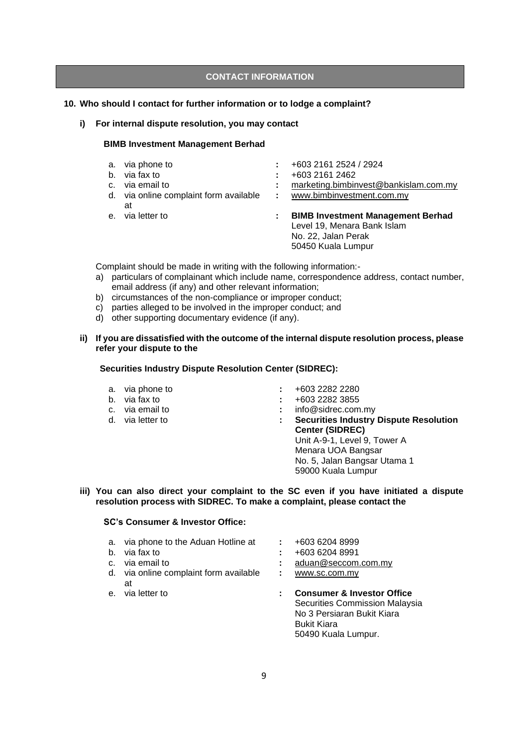#### **CONTACT INFORMATION**

#### **10. Who should I contact for further information or to lodge a complaint?**

**i) For internal dispute resolution, you may contact** 

#### **BIMB Investment Management Berhad**

| $b_{1}$ | a. via phone to<br>via fax to<br>c. via email to |    | +603 2161 2524 / 2924<br>+603 2161 2462<br>marketing.bimbinvest@bankislam.com.my                                     |
|---------|--------------------------------------------------|----|----------------------------------------------------------------------------------------------------------------------|
|         | d. via online complaint form available<br>at     | ÷. | www.bimbinvestment.com.my                                                                                            |
|         | e. via letter to                                 |    | <b>BIMB Investment Management Berhad</b><br>Level 19, Menara Bank Islam<br>No. 22, Jalan Perak<br>50450 Kuala Lumpur |

Complaint should be made in writing with the following information:-

- a) particulars of complainant which include name, correspondence address, contact number, email address (if any) and other relevant information;
- b) circumstances of the non-compliance or improper conduct;
- c) parties alleged to be involved in the improper conduct; and
- d) other supporting documentary evidence (if any).

#### **ii) If you are dissatisfied with the outcome of the internal dispute resolution process, please refer your dispute to the**

#### **Securities Industry Dispute Resolution Center (SIDREC):**

- 
- 
- 
- 
- a. via phone to **:** +603 2282 2280
	-
- b. via fax to **:** +603 2282 3855<br>
c. via email to **:** info@sidrec.com : info@sidrec.com.my
- d. via letter to **: Securities Industry Dispute Resolution Center (SIDREC)**  Unit A-9-1, Level 9, Tower A Menara UOA Bangsar No. 5, Jalan Bangsar Utama 1 59000 Kuala Lumpur

#### **iii) You can also direct your complaint to the SC even if you have initiated a dispute resolution process with SIDREC. To make a complaint, please contact the**

#### **SC's Consumer & Investor Office:**

- a. via phone to the Aduan Hotline at **:** +603 6204 8999
- 
- 
- d. via online complaint form available at
- 
- 
- b. via fax to **:** +603 6204 8991
- c. via email to **:** [aduan@seccom.com.my](mailto:aduan@seccom.com.my)
	- **:** [www.sc.com.my](http://www.sc.com.my/)
- e. via letter to **: Consumer & Investor Office** Securities Commission Malaysia No 3 Persiaran Bukit Kiara Bukit Kiara 50490 Kuala Lumpur.